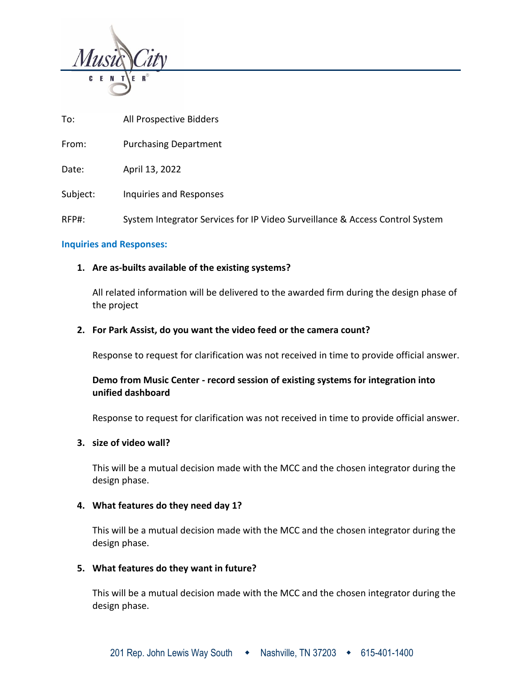

To: All Prospective Bidders

From: Purchasing Department

Date: April 13, 2022

Subject: Inquiries and Responses

RFP#: System Integrator Services for IP Video Surveillance & Access Control System

### **Inquiries and Responses:**

### **1. Are as-builts available of the existing systems?**

All related information will be delivered to the awarded firm during the design phase of the project

### **2. For Park Assist, do you want the video feed or the camera count?**

Response to request for clarification was not received in time to provide official answer.

# **Demo from Music Center - record session of existing systems for integration into unified dashboard**

Response to request for clarification was not received in time to provide official answer.

### **3. size of video wall?**

This will be a mutual decision made with the MCC and the chosen integrator during the design phase.

### **4. What features do they need day 1?**

This will be a mutual decision made with the MCC and the chosen integrator during the design phase.

#### **5. What features do they want in future?**

This will be a mutual decision made with the MCC and the chosen integrator during the design phase.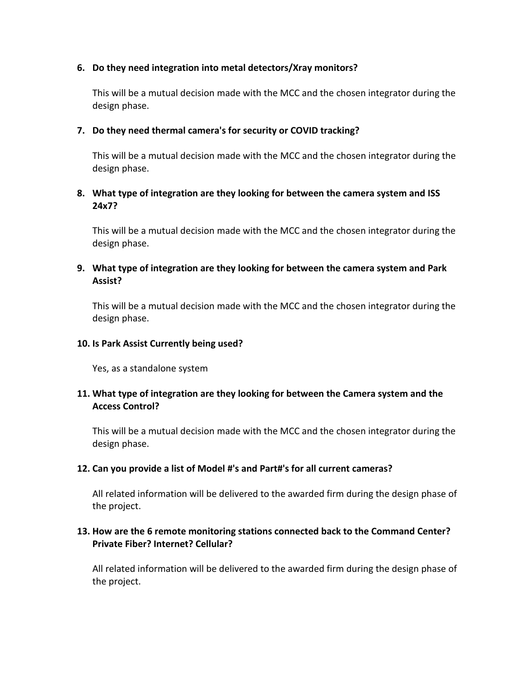## **6. Do they need integration into metal detectors/Xray monitors?**

This will be a mutual decision made with the MCC and the chosen integrator during the design phase.

## **7. Do they need thermal camera's for security or COVID tracking?**

This will be a mutual decision made with the MCC and the chosen integrator during the design phase.

# **8. What type of integration are they looking for between the camera system and ISS 24x7?**

This will be a mutual decision made with the MCC and the chosen integrator during the design phase.

# **9. What type of integration are they looking for between the camera system and Park Assist?**

This will be a mutual decision made with the MCC and the chosen integrator during the design phase.

## **10. Is Park Assist Currently being used?**

Yes, as a standalone system

# **11. What type of integration are they looking for between the Camera system and the Access Control?**

This will be a mutual decision made with the MCC and the chosen integrator during the design phase.

# **12. Can you provide a list of Model #'s and Part#'s for all current cameras?**

All related information will be delivered to the awarded firm during the design phase of the project.

# **13. How are the 6 remote monitoring stations connected back to the Command Center? Private Fiber? Internet? Cellular?**

All related information will be delivered to the awarded firm during the design phase of the project.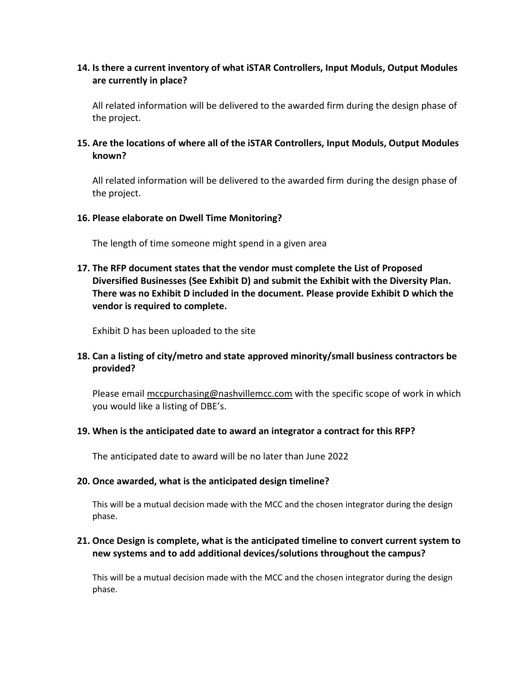# **14. Is there a current inventory of what iSTAR Controllers, Input Moduls, Output Modules are currently in place?**

All related information will be delivered to the awarded firm during the design phase of the project.

**15. Are the locations of where all of the iSTAR Controllers, Input Moduls, Output Modules known?** 

All related information will be delivered to the awarded firm during the design phase of the project.

#### **16. Please elaborate on Dwell Time Monitoring?**

The length of time someone might spend in a given area

**17. The RFP document states that the vendor must complete the List of Proposed Diversified Businesses (See Exhibit D) and submit the Exhibit with the Diversity Plan. There was no Exhibit D included in the document. Please provide Exhibit D which the vendor is required to complete.**

Exhibit D has been uploaded to the site

# **18. Can a listing of city/metro and state approved minority/small business contractors be provided?**

Please email [mccpurchasing@nashvillemcc.com](mailto:mccpurchasing@nashvillemcc.com) with the specific scope of work in which you would like a listing of DBE's.

#### **19. When is the anticipated date to award an integrator a contract for this RFP?**

The anticipated date to award will be no later than June 2022

### **20. Once awarded, what is the anticipated design timeline?**

This will be a mutual decision made with the MCC and the chosen integrator during the design phase.

## **21. Once Design is complete, what is the anticipated timeline to convert current system to new systems and to add additional devices/solutions throughout the campus?**

This will be a mutual decision made with the MCC and the chosen integrator during the design phase.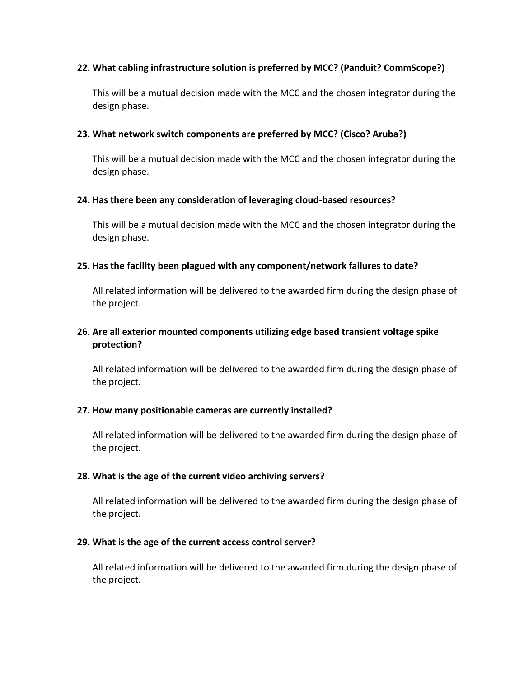## **22. What cabling infrastructure solution is preferred by MCC? (Panduit? CommScope?)**

This will be a mutual decision made with the MCC and the chosen integrator during the design phase.

## **23. What network switch components are preferred by MCC? (Cisco? Aruba?)**

This will be a mutual decision made with the MCC and the chosen integrator during the design phase.

### **24. Has there been any consideration of leveraging cloud-based resources?**

This will be a mutual decision made with the MCC and the chosen integrator during the design phase.

## **25. Has the facility been plagued with any component/network failures to date?**

All related information will be delivered to the awarded firm during the design phase of the project.

# **26. Are all exterior mounted components utilizing edge based transient voltage spike protection?**

All related information will be delivered to the awarded firm during the design phase of the project.

### **27. How many positionable cameras are currently installed?**

All related information will be delivered to the awarded firm during the design phase of the project.

### **28. What is the age of the current video archiving servers?**

All related information will be delivered to the awarded firm during the design phase of the project.

### **29. What is the age of the current access control server?**

All related information will be delivered to the awarded firm during the design phase of the project.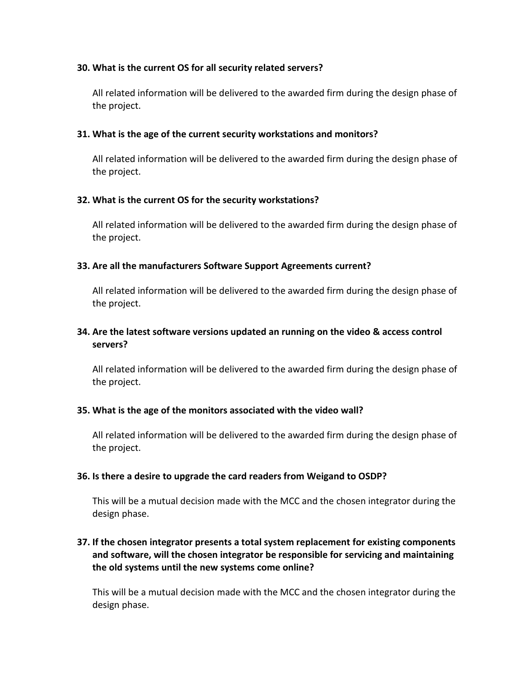## **30. What is the current OS for all security related servers?**

All related information will be delivered to the awarded firm during the design phase of the project.

## **31. What is the age of the current security workstations and monitors?**

All related information will be delivered to the awarded firm during the design phase of the project.

## **32. What is the current OS for the security workstations?**

All related information will be delivered to the awarded firm during the design phase of the project.

## **33. Are all the manufacturers Software Support Agreements current?**

All related information will be delivered to the awarded firm during the design phase of the project.

# **34. Are the latest software versions updated an running on the video & access control servers?**

All related information will be delivered to the awarded firm during the design phase of the project.

### **35. What is the age of the monitors associated with the video wall?**

All related information will be delivered to the awarded firm during the design phase of the project.

### **36. Is there a desire to upgrade the card readers from Weigand to OSDP?**

This will be a mutual decision made with the MCC and the chosen integrator during the design phase.

# **37. If the chosen integrator presents a total system replacement for existing components and software, will the chosen integrator be responsible for servicing and maintaining the old systems until the new systems come online?**

This will be a mutual decision made with the MCC and the chosen integrator during the design phase.